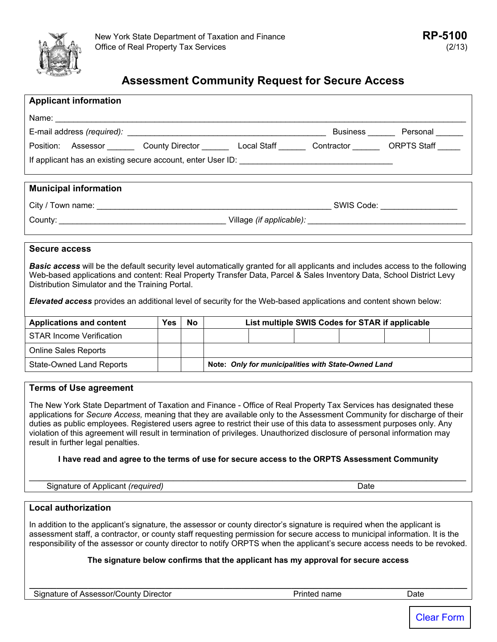

# **Assessment Community Request for Secure Access**

| <b>Applicant information</b> |                                                                          |  |  |  |  |  |  |  |  |
|------------------------------|--------------------------------------------------------------------------|--|--|--|--|--|--|--|--|
|                              |                                                                          |  |  |  |  |  |  |  |  |
|                              | Business Personal                                                        |  |  |  |  |  |  |  |  |
|                              | Contractor ORPTS Staff<br>Position: Assessor County Director Local Staff |  |  |  |  |  |  |  |  |
|                              |                                                                          |  |  |  |  |  |  |  |  |
|                              |                                                                          |  |  |  |  |  |  |  |  |
| <b>Municipal information</b> |                                                                          |  |  |  |  |  |  |  |  |
|                              |                                                                          |  |  |  |  |  |  |  |  |
|                              |                                                                          |  |  |  |  |  |  |  |  |
|                              |                                                                          |  |  |  |  |  |  |  |  |

#### **Secure access**

*Basic access* will be the default security level automatically granted for all applicants and includes access to the following Web-based applications and content: Real Property Transfer Data, Parcel & Sales Inventory Data, School District Levy Distribution Simulator and the Training Portal.

*Elevated access* provides an additional level of security for the Web-based applications and content shown below:

| <b>Applications and content</b> | <b>Yes</b> | <b>No</b> | List multiple SWIS Codes for STAR if applicable     |  |  |  |  |  |
|---------------------------------|------------|-----------|-----------------------------------------------------|--|--|--|--|--|
| <b>STAR Income Verification</b> |            |           |                                                     |  |  |  |  |  |
| <b>Online Sales Reports</b>     |            |           |                                                     |  |  |  |  |  |
| <b>State-Owned Land Reports</b> |            |           | Note: Only for municipalities with State-Owned Land |  |  |  |  |  |

### **Terms of Use agreement**

The New York State Department of Taxation and Finance - Office of Real Property Tax Services has designated these applications for *Secure Access,* meaning that they are available only to the Assessment Community for discharge of their duties as public employees. Registered users agree to restrict their use of this data to assessment purposes only. Any violation of this agreement will result in termination of privileges. Unauthorized disclosure of personal information may result in further legal penalties.

#### **I have read and agree to the terms of use for secure access to the ORPTS Assessment Community**

Signature of Applicant *(required)* Date **Date is a set of Applicant** *(required)* Date

\_\_\_\_\_\_\_\_\_\_\_\_\_\_\_\_\_\_\_\_\_\_\_\_\_\_\_\_\_\_\_\_\_\_\_\_\_\_\_\_\_\_\_\_\_\_\_\_\_\_\_\_\_\_\_\_\_\_\_\_\_\_\_\_\_\_\_\_\_\_\_\_\_\_\_\_\_\_\_\_\_\_\_\_\_\_\_\_

### **Local authorization**

In addition to the applicant's signature, the assessor or county director's signature is required when the applicant is assessment staff, a contractor, or county staff requesting permission for secure access to municipal information. It is the responsibility of the assessor or county director to notify ORPTS when the applicant's secure access needs to be revoked.

### **The signature below confirms that the applicant has my approval for secure access**

**\_\_\_\_\_\_\_\_\_\_\_\_\_\_\_\_\_\_\_\_\_\_\_\_\_\_\_\_\_\_\_\_\_\_\_\_\_\_\_\_\_\_\_\_\_\_\_\_\_\_\_\_\_\_\_\_\_\_\_\_\_\_\_\_\_\_\_\_\_\_\_\_\_\_\_\_\_\_\_\_\_\_\_\_\_\_\_\_\_\_\_\_\_\_\_\_\_**

Signature of Assessor/County Director **Name is a contract of Assessor/County Director** Assessor Printed name Date